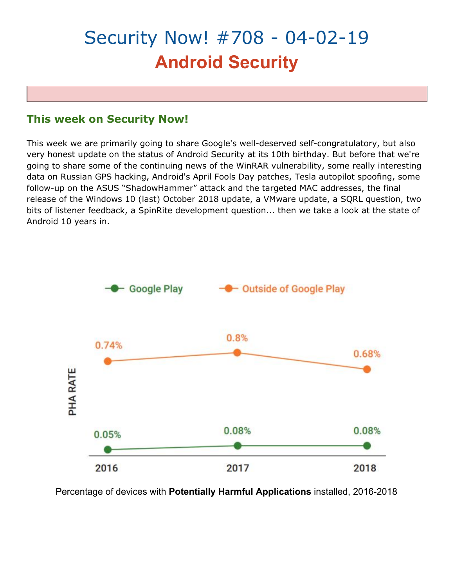# Security Now! #708 - 04-02-19 **Android Security**

# **This week on Security Now!**

This week we are primarily going to share Google's well-deserved self-congratulatory, but also very honest update on the status of Android Security at its 10th birthday. But before that we're going to share some of the continuing news of the WinRAR vulnerability, some really interesting data on Russian GPS hacking, Android's April Fools Day patches, Tesla autopilot spoofing, some follow-up on the ASUS "ShadowHammer" attack and the targeted MAC addresses, the final release of the Windows 10 (last) October 2018 update, a VMware update, a SQRL question, two bits of listener feedback, a SpinRite development question... then we take a look at the state of Android 10 years in.



Percentage of devices with **Potentially Harmful Applications** installed, 2016-2018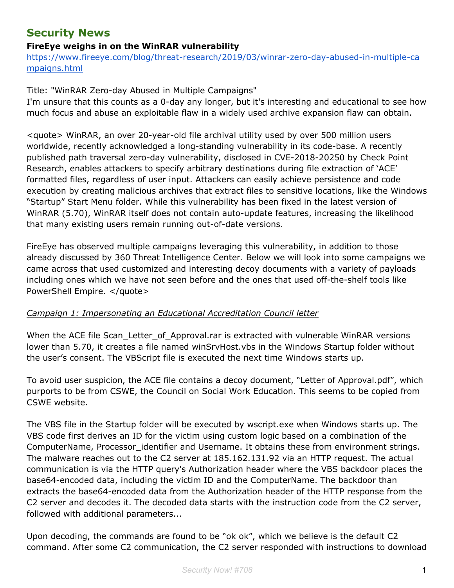# **Security News**

# **FireEye weighs in on the WinRAR vulnerability**

[https://www.fireeye.com/blog/threat-research/2019/03/winrar-zero-day-abused-in-multiple-ca](https://www.fireeye.com/blog/threat-research/2019/03/winrar-zero-day-abused-in-multiple-campaigns.html) [mpaigns.html](https://www.fireeye.com/blog/threat-research/2019/03/winrar-zero-day-abused-in-multiple-campaigns.html)

#### Title: "WinRAR Zero-day Abused in Multiple Campaigns"

I'm unsure that this counts as a 0-day any longer, but it's interesting and educational to see how much focus and abuse an exploitable flaw in a widely used archive expansion flaw can obtain.

<quote> WinRAR, an over 20-year-old file archival utility used by over 500 million users worldwide, recently acknowledged a long-standing vulnerability in its code-base. A recently published path traversal zero-day vulnerability, disclosed in CVE-2018-20250 by Check Point Research, enables attackers to specify arbitrary destinations during file extraction of 'ACE' formatted files, regardless of user input. Attackers can easily achieve persistence and code execution by creating malicious archives that extract files to sensitive locations, like the Windows "Startup" Start Menu folder. While this vulnerability has been fixed in the latest version of WinRAR (5.70), WinRAR itself does not contain auto-update features, increasing the likelihood that many existing users remain running out-of-date versions.

FireEye has observed multiple campaigns leveraging this vulnerability, in addition to those already discussed by 360 Threat Intelligence Center. Below we will look into some campaigns we came across that used customized and interesting decoy documents with a variety of payloads including ones which we have not seen before and the ones that used off-the-shelf tools like PowerShell Empire. </quote>

#### *Campaign 1: Impersonating an Educational Accreditation Council letter*

When the ACE file Scan Letter of Approval.rar is extracted with vulnerable WinRAR versions lower than 5.70, it creates a file named winSrvHost.vbs in the Windows Startup folder without the user's consent. The VBScript file is executed the next time Windows starts up.

To avoid user suspicion, the ACE file contains a decoy document, "Letter of Approval.pdf", which purports to be from CSWE, the Council on Social Work Education. This seems to be copied from CSWE website.

The VBS file in the Startup folder will be executed by wscript.exe when Windows starts up. The VBS code first derives an ID for the victim using custom logic based on a combination of the ComputerName, Processor identifier and Username. It obtains these from environment strings. The malware reaches out to the C2 server at 185.162.131.92 via an HTTP request. The actual communication is via the HTTP query's Authorization header where the VBS backdoor places the base64-encoded data, including the victim ID and the ComputerName. The backdoor than extracts the base64-encoded data from the Authorization header of the HTTP response from the C2 server and decodes it. The decoded data starts with the instruction code from the C2 server, followed with additional parameters...

Upon decoding, the commands are found to be "ok ok", which we believe is the default C2 command. After some C2 communication, the C2 server responded with instructions to download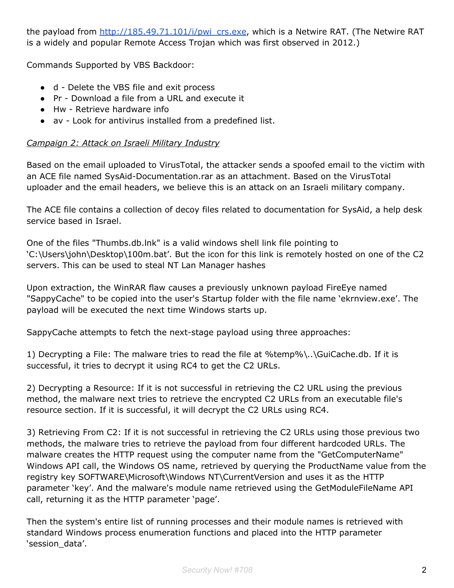the payload from [http://185.49.71.101/i/pwi\\_crs.exe](http://185.49.71.101/i/pwi_crs.exe), which is a Netwire RAT. (The Netwire RAT is a widely and popular Remote Access Trojan which was first observed in 2012.)

Commands Supported by VBS Backdoor:

- d Delete the VBS file and exit process
- Pr Download a file from a URL and execute it
- Hw Retrieve hardware info
- av Look for antivirus installed from a predefined list.

# *Campaign 2: Attack on Israeli Military Industry*

Based on the email uploaded to VirusTotal, the attacker sends a spoofed email to the victim with an ACE file named SysAid-Documentation.rar as an attachment. Based on the VirusTotal uploader and the email headers, we believe this is an attack on an Israeli military company.

The ACE file contains a collection of decoy files related to documentation for SysAid, a help desk service based in Israel.

One of the files "Thumbs.db.lnk" is a valid windows shell link file pointing to 'C:\Users\john\Desktop\100m.bat'. But the icon for this link is remotely hosted on one of the C2 servers. This can be used to steal NT Lan Manager hashes

Upon extraction, the WinRAR flaw causes a previously unknown payload FireEye named "SappyCache" to be copied into the user's Startup folder with the file name 'ekrnview.exe'. The payload will be executed the next time Windows starts up.

SappyCache attempts to fetch the next-stage payload using three approaches:

1) Decrypting a File: The malware tries to read the file at %temp%\..\GuiCache.db. If it is successful, it tries to decrypt it using RC4 to get the C2 URLs.

2) Decrypting a Resource: If it is not successful in retrieving the C2 URL using the previous method, the malware next tries to retrieve the encrypted C2 URLs from an executable file's resource section. If it is successful, it will decrypt the C2 URLs using RC4.

3) Retrieving From C2: If it is not successful in retrieving the C2 URLs using those previous two methods, the malware tries to retrieve the payload from four different hardcoded URLs. The malware creates the HTTP request using the computer name from the "GetComputerName" Windows API call, the Windows OS name, retrieved by querying the ProductName value from the registry key SOFTWARE\Microsoft\Windows NT\CurrentVersion and uses it as the HTTP parameter 'key'. And the malware's module name retrieved using the GetModuleFileName API call, returning it as the HTTP parameter 'page'.

Then the system's entire list of running processes and their module names is retrieved with standard Windows process enumeration functions and placed into the HTTP parameter 'session\_data'.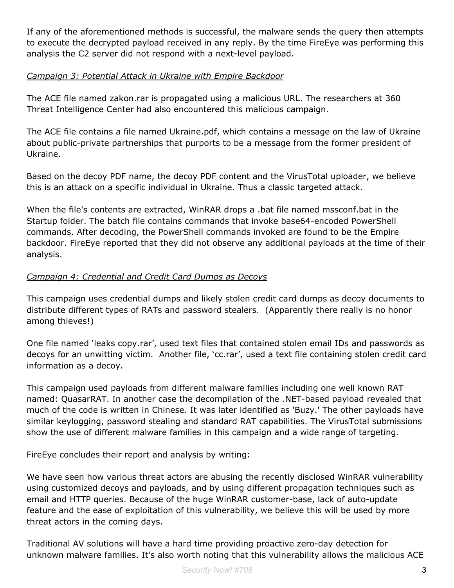If any of the aforementioned methods is successful, the malware sends the query then attempts to execute the decrypted payload received in any reply. By the time FireEye was performing this analysis the C2 server did not respond with a next-level payload.

# *Campaign 3: Potential Attack in Ukraine with Empire Backdoor*

The ACE file named zakon.rar is propagated using a malicious URL. The researchers at 360 Threat Intelligence Center had also encountered this malicious campaign.

The ACE file contains a file named Ukraine.pdf, which contains a message on the law of Ukraine about public-private partnerships that purports to be a message from the former president of Ukraine.

Based on the decoy PDF name, the decoy PDF content and the VirusTotal uploader, we believe this is an attack on a specific individual in Ukraine. Thus a classic targeted attack.

When the file's contents are extracted, WinRAR drops a .bat file named mssconf.bat in the Startup folder. The batch file contains commands that invoke base64-encoded PowerShell commands. After decoding, the PowerShell commands invoked are found to be the Empire backdoor. FireEye reported that they did not observe any additional payloads at the time of their analysis.

# *Campaign 4: Credential and Credit Card Dumps as Decoys*

This campaign uses credential dumps and likely stolen credit card dumps as decoy documents to distribute different types of RATs and password stealers. (Apparently there really is no honor among thieves!)

One file named 'leaks copy.rar', used text files that contained stolen email IDs and passwords as decoys for an unwitting victim. Another file, 'cc.rar', used a text file containing stolen credit card information as a decoy.

This campaign used payloads from different malware families including one well known RAT named: QuasarRAT. In another case the decompilation of the .NET-based payload revealed that much of the code is written in Chinese. It was later identified as 'Buzy.' The other payloads have similar keylogging, password stealing and standard RAT capabilities. The VirusTotal submissions show the use of different malware families in this campaign and a wide range of targeting.

FireEye concludes their report and analysis by writing:

We have seen how various threat actors are abusing the recently disclosed WinRAR vulnerability using customized decoys and payloads, and by using different propagation techniques such as email and HTTP queries. Because of the huge WinRAR customer-base, lack of auto-update feature and the ease of exploitation of this vulnerability, we believe this will be used by more threat actors in the coming days.

Traditional AV solutions will have a hard time providing proactive zero-day detection for unknown malware families. It's also worth noting that this vulnerability allows the malicious ACE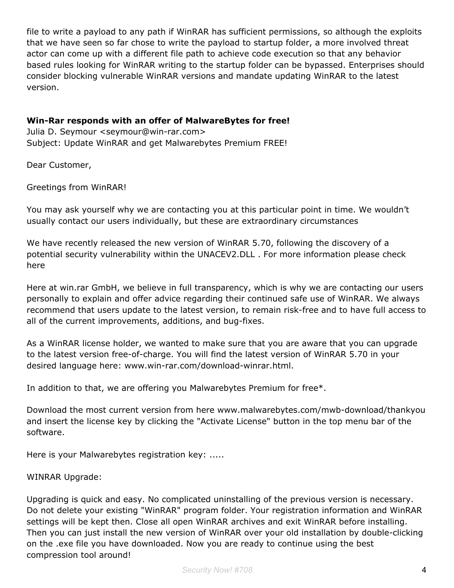file to write a payload to any path if WinRAR has sufficient permissions, so although the exploits that we have seen so far chose to write the payload to startup folder, a more involved threat actor can come up with a different file path to achieve code execution so that any behavior based rules looking for WinRAR writing to the startup folder can be bypassed. Enterprises should consider blocking vulnerable WinRAR versions and mandate updating WinRAR to the latest version.

#### **Win-Rar responds with an offer of MalwareBytes for free!**

Julia D. Seymour <seymour@win-rar.com> Subject: Update WinRAR and get Malwarebytes Premium FREE!

Dear Customer,

Greetings from WinRAR!

You may ask yourself why we are contacting you at this particular point in time. We wouldn't usually contact our users individually, but these are extraordinary circumstances

We have recently released the new version of WinRAR 5.70, following the discovery of a potential security vulnerability within the UNACEV2.DLL . For more information please check here

Here at win.rar GmbH, we believe in full transparency, which is why we are contacting our users personally to explain and offer advice regarding their continued safe use of WinRAR. We always recommend that users update to the latest version, to remain risk-free and to have full access to all of the current improvements, additions, and bug-fixes.

As a WinRAR license holder, we wanted to make sure that you are aware that you can upgrade to the latest version free-of-charge. You will find the latest version of WinRAR 5.70 in your desired language here: www.win-rar.com/download-winrar.html.

In addition to that, we are offering you Malwarebytes Premium for free\*.

Download the most current version from here www.malwarebytes.com/mwb-download/thankyou and insert the license key by clicking the "Activate License" button in the top menu bar of the software.

Here is your Malwarebytes registration key: .....

#### WINRAR Upgrade:

Upgrading is quick and easy. No complicated uninstalling of the previous version is necessary. Do not delete your existing "WinRAR" program folder. Your registration information and WinRAR settings will be kept then. Close all open WinRAR archives and exit WinRAR before installing. Then you can just install the new version of WinRAR over your old installation by double-clicking on the .exe file you have downloaded. Now you are ready to continue using the best compression tool around!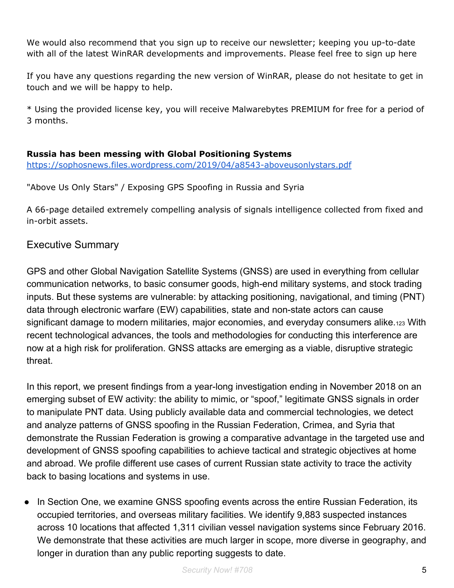We would also recommend that you sign up to receive our newsletter; keeping you up-to-date with all of the latest WinRAR developments and improvements. Please feel free to sign up here

If you have any questions regarding the new version of WinRAR, please do not hesitate to get in touch and we will be happy to help.

\* Using the provided license key, you will receive Malwarebytes PREMIUM for free for a period of 3 months.

# **Russia has been messing with Global Positioning Systems**

<https://sophosnews.files.wordpress.com/2019/04/a8543-aboveusonlystars.pdf>

"Above Us Only Stars" / Exposing GPS Spoofing in Russia and Syria

A 66-page detailed extremely compelling analysis of signals intelligence collected from fixed and in-orbit assets.

# Executive Summary

GPS and other Global Navigation Satellite Systems (GNSS) are used in everything from cellular communication networks, to basic consumer goods, high-end military systems, and stock trading inputs. But these systems are vulnerable: by attacking positioning, navigational, and timing (PNT) data through electronic warfare (EW) capabilities, state and non-state actors can cause significant damage to modern militaries, major economies, and everyday consumers alike.123 With recent technological advances, the tools and methodologies for conducting this interference are now at a high risk for proliferation. GNSS attacks are emerging as a viable, disruptive strategic threat.

In this report, we present findings from a year-long investigation ending in November 2018 on an emerging subset of EW activity: the ability to mimic, or "spoof," legitimate GNSS signals in order to manipulate PNT data. Using publicly available data and commercial technologies, we detect and analyze patterns of GNSS spoofing in the Russian Federation, Crimea, and Syria that demonstrate the Russian Federation is growing a comparative advantage in the targeted use and development of GNSS spoofing capabilities to achieve tactical and strategic objectives at home and abroad. We profile different use cases of current Russian state activity to trace the activity back to basing locations and systems in use.

• In Section One, we examine GNSS spoofing events across the entire Russian Federation, its occupied territories, and overseas military facilities. We identify 9,883 suspected instances across 10 locations that affected 1,311 civilian vessel navigation systems since February 2016. We demonstrate that these activities are much larger in scope, more diverse in geography, and longer in duration than any public reporting suggests to date.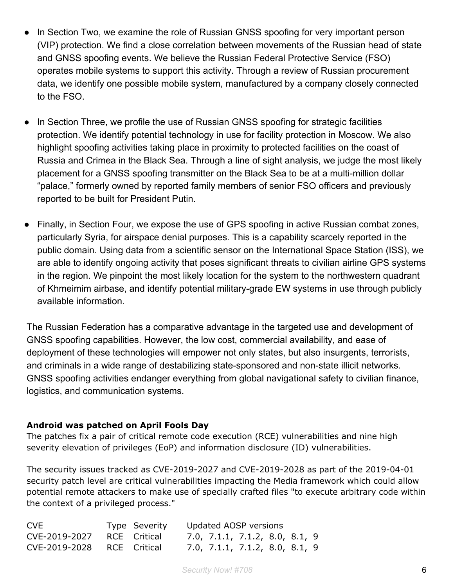- In Section Two, we examine the role of Russian GNSS spoofing for very important person (VIP) protection. We find a close correlation between movements of the Russian head of state and GNSS spoofing events. We believe the Russian Federal Protective Service (FSO) operates mobile systems to support this activity. Through a review of Russian procurement data, we identify one possible mobile system, manufactured by a company closely connected to the FSO.
- In Section Three, we profile the use of Russian GNSS spoofing for strategic facilities protection. We identify potential technology in use for facility protection in Moscow. We also highlight spoofing activities taking place in proximity to protected facilities on the coast of Russia and Crimea in the Black Sea. Through a line of sight analysis, we judge the most likely placement for a GNSS spoofing transmitter on the Black Sea to be at a multi-million dollar "palace," formerly owned by reported family members of senior FSO officers and previously reported to be built for President Putin.
- Finally, in Section Four, we expose the use of GPS spoofing in active Russian combat zones, particularly Syria, for airspace denial purposes. This is a capability scarcely reported in the public domain. Using data from a scientific sensor on the International Space Station (ISS), we are able to identify ongoing activity that poses significant threats to civilian airline GPS systems in the region. We pinpoint the most likely location for the system to the northwestern quadrant of Khmeimim airbase, and identify potential military-grade EW systems in use through publicly available information.

The Russian Federation has a comparative advantage in the targeted use and development of GNSS spoofing capabilities. However, the low cost, commercial availability, and ease of deployment of these technologies will empower not only states, but also insurgents, terrorists, and criminals in a wide range of destabilizing state-sponsored and non-state illicit networks. GNSS spoofing activities endanger everything from global navigational safety to civilian finance, logistics, and communication systems.

#### **Android was patched on April Fools Day**

The patches fix a pair of critical remote code execution (RCE) vulnerabilities and nine high severity elevation of privileges (EoP) and information disclosure (ID) vulnerabilities.

The security issues tracked as CVE-2019-2027 and CVE-2019-2028 as part of the 2019-04-01 security patch level are critical vulnerabilities impacting the Media framework which could allow potential remote attackers to make use of specially crafted files "to execute arbitrary code within the context of a privileged process."

| CVE                        | Type Severity | Updated AOSP versions          |  |  |  |  |
|----------------------------|---------------|--------------------------------|--|--|--|--|
| CVE-2019-2027              | RCE Critical  | 7.0, 7.1.1, 7.1.2, 8.0, 8.1, 9 |  |  |  |  |
| CVE-2019-2028 RCE Critical |               | 7.0, 7.1.1, 7.1.2, 8.0, 8.1, 9 |  |  |  |  |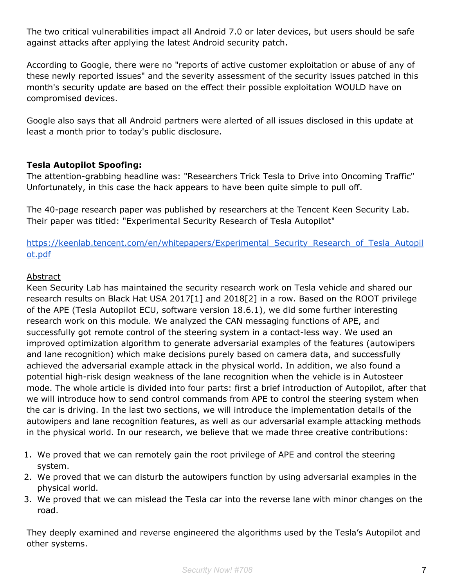The two critical vulnerabilities impact all Android 7.0 or later devices, but users should be safe against attacks after applying the latest Android security patch.

According to Google, there were no "reports of active customer exploitation or abuse of any of these newly reported issues" and the severity assessment of the security issues patched in this month's security update are based on the effect their possible exploitation WOULD have on compromised devices.

Google also says that all Android partners were alerted of all issues disclosed in this update at least a month prior to today's public disclosure.

# **Tesla Autopilot Spoofing:**

The attention-grabbing headline was: "Researchers Trick Tesla to Drive into Oncoming Traffic" Unfortunately, in this case the hack appears to have been quite simple to pull off.

The 40-page research paper was published by researchers at the Tencent Keen Security Lab. Their paper was titled: "Experimental Security Research of Tesla Autopilot"

[https://keenlab.tencent.com/en/whitepapers/Experimental\\_Security\\_Research\\_of\\_Tesla\\_Autopil](https://keenlab.tencent.com/en/whitepapers/Experimental_Security_Research_of_Tesla_Autopilot.pdf) [ot.pdf](https://keenlab.tencent.com/en/whitepapers/Experimental_Security_Research_of_Tesla_Autopilot.pdf)

#### Abstract

Keen Security Lab has maintained the security research work on Tesla vehicle and shared our research results on Black Hat USA 2017[1] and 2018[2] in a row. Based on the ROOT privilege of the APE (Tesla Autopilot ECU, software version 18.6.1), we did some further interesting research work on this module. We analyzed the CAN messaging functions of APE, and successfully got remote control of the steering system in a contact-less way. We used an improved optimization algorithm to generate adversarial examples of the features (autowipers and lane recognition) which make decisions purely based on camera data, and successfully achieved the adversarial example attack in the physical world. In addition, we also found a potential high-risk design weakness of the lane recognition when the vehicle is in Autosteer mode. The whole article is divided into four parts: first a brief introduction of Autopilot, after that we will introduce how to send control commands from APE to control the steering system when the car is driving. In the last two sections, we will introduce the implementation details of the autowipers and lane recognition features, as well as our adversarial example attacking methods in the physical world. In our research, we believe that we made three creative contributions:

- 1. We proved that we can remotely gain the root privilege of APE and control the steering system.
- 2. We proved that we can disturb the autowipers function by using adversarial examples in the physical world.
- 3. We proved that we can mislead the Tesla car into the reverse lane with minor changes on the road.

They deeply examined and reverse engineered the algorithms used by the Tesla's Autopilot and other systems.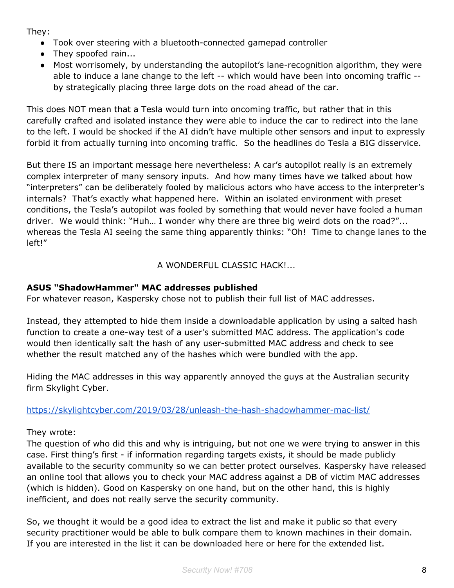They:

- Took over steering with a bluetooth-connected gamepad controller
- They spoofed rain...
- Most worrisomely, by understanding the autopilot's lane-recognition algorithm, they were able to induce a lane change to the left -- which would have been into oncoming traffic - by strategically placing three large dots on the road ahead of the car.

This does NOT mean that a Tesla would turn into oncoming traffic, but rather that in this carefully crafted and isolated instance they were able to induce the car to redirect into the lane to the left. I would be shocked if the AI didn't have multiple other sensors and input to expressly forbid it from actually turning into oncoming traffic. So the headlines do Tesla a BIG disservice.

But there IS an important message here nevertheless: A car's autopilot really is an extremely complex interpreter of many sensory inputs. And how many times have we talked about how "interpreters" can be deliberately fooled by malicious actors who have access to the interpreter's internals? That's exactly what happened here. Within an isolated environment with preset conditions, the Tesla's autopilot was fooled by something that would never have fooled a human driver. We would think: "Huh… I wonder why there are three big weird dots on the road?"... whereas the Tesla AI seeing the same thing apparently thinks: "Oh! Time to change lanes to the left!"

A WONDERFUL CLASSIC HACK!...

# **ASUS "ShadowHammer" MAC addresses published**

For whatever reason, Kaspersky chose not to publish their full list of MAC addresses.

Instead, they attempted to hide them inside a downloadable application by using a salted hash function to create a one-way test of a user's submitted MAC address. The application's code would then identically salt the hash of any user-submitted MAC address and check to see whether the result matched any of the hashes which were bundled with the app.

Hiding the MAC addresses in this way apparently annoyed the guys at the Australian security firm Skylight Cyber.

<https://skylightcyber.com/2019/03/28/unleash-the-hash-shadowhammer-mac-list/>

They wrote:

The question of who did this and why is intriguing, but not one we were trying to answer in this case. First thing's first - if information regarding targets exists, it should be made publicly available to the security community so we can better protect ourselves. Kaspersky have released an online tool that allows you to check your MAC address against a DB of victim MAC addresses (which is hidden). Good on Kaspersky on one hand, but on the other hand, this is highly inefficient, and does not really serve the security community.

So, we thought it would be a good idea to extract the list and make it public so that every security practitioner would be able to bulk compare them to known machines in their domain. If you are interested in the list it can be downloaded here or here for the extended list.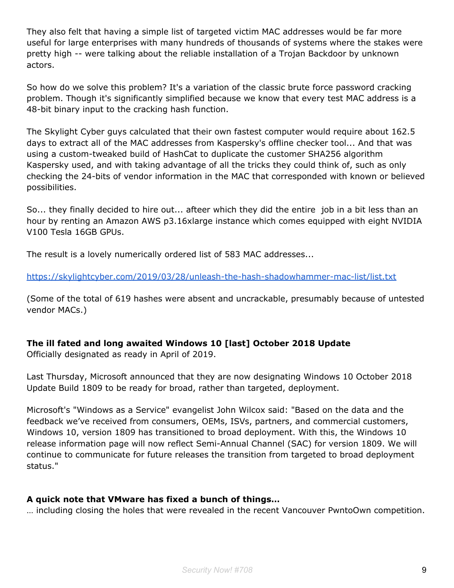They also felt that having a simple list of targeted victim MAC addresses would be far more useful for large enterprises with many hundreds of thousands of systems where the stakes were pretty high -- were talking about the reliable installation of a Trojan Backdoor by unknown actors.

So how do we solve this problem? It's a variation of the classic brute force password cracking problem. Though it's significantly simplified because we know that every test MAC address is a 48-bit binary input to the cracking hash function.

The Skylight Cyber guys calculated that their own fastest computer would require about 162.5 days to extract all of the MAC addresses from Kaspersky's offline checker tool... And that was using a custom-tweaked build of HashCat to duplicate the customer SHA256 algorithm Kaspersky used, and with taking advantage of all the tricks they could think of, such as only checking the 24-bits of vendor information in the MAC that corresponded with known or believed possibilities.

So... they finally decided to hire out... afteer which they did the entire job in a bit less than an hour by renting an Amazon AWS p3.16xlarge instance which comes equipped with eight NVIDIA V100 Tesla 16GB GPUs.

The result is a lovely numerically ordered list of 583 MAC addresses...

<https://skylightcyber.com/2019/03/28/unleash-the-hash-shadowhammer-mac-list/list.txt>

(Some of the total of 619 hashes were absent and uncrackable, presumably because of untested vendor MACs.)

# **The ill fated and long awaited Windows 10 [last] October 2018 Update**

Officially designated as ready in April of 2019.

Last Thursday, Microsoft announced that they are now designating Windows 10 October 2018 Update Build 1809 to be ready for broad, rather than targeted, deployment.

Microsoft's "Windows as a Service" evangelist John Wilcox said: "Based on the data and the feedback we've received from consumers, OEMs, ISVs, partners, and commercial customers, Windows 10, version 1809 has transitioned to broad deployment. With this, the Windows 10 release information page will now reflect Semi-Annual Channel (SAC) for version 1809. We will continue to communicate for future releases the transition from targeted to broad deployment status."

# **A quick note that VMware has fixed a bunch of things…**

… including closing the holes that were revealed in the recent Vancouver PwntoOwn competition.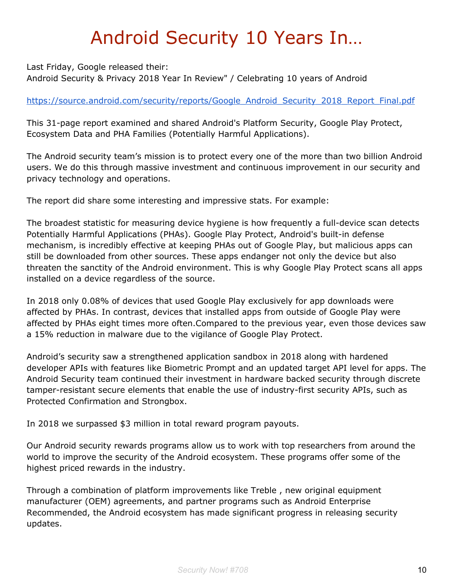# Android Security 10 Years In…

Last Friday, Google released their: Android Security & Privacy 2018 Year In Review" / Celebrating 10 years of Android

# [https://source.android.com/security/reports/Google\\_Android\\_Security\\_2018\\_Report\\_Final.pdf](https://source.android.com/security/reports/Google_Android_Security_2018_Report_Final.pdf)

This 31-page report examined and shared Android's Platform Security, Google Play Protect, Ecosystem Data and PHA Families (Potentially Harmful Applications).

The Android security team's mission is to protect every one of the more than two billion Android users. We do this through massive investment and continuous improvement in our security and privacy technology and operations.

The report did share some interesting and impressive stats. For example:

The broadest statistic for measuring device hygiene is how frequently a full-device scan detects Potentially Harmful Applications (PHAs). Google Play Protect, Android's built-in defense mechanism, is incredibly effective at keeping PHAs out of Google Play, but malicious apps can still be downloaded from other sources. These apps endanger not only the device but also threaten the sanctity of the Android environment. This is why Google Play Protect scans all apps installed on a device regardless of the source.

In 2018 only 0.08% of devices that used Google Play exclusively for app downloads were affected by PHAs. In contrast, devices that installed apps from outside of Google Play were affected by PHAs eight times more often.Compared to the previous year, even those devices saw a 15% reduction in malware due to the vigilance of Google Play Protect.

Android's security saw a strengthened application sandbox in 2018 along with hardened developer APIs with features like Biometric Prompt and an updated target API level for apps. The Android Security team continued their investment in hardware backed security through discrete tamper-resistant secure elements that enable the use of industry-first security APIs, such as Protected Confirmation and Strongbox.

In 2018 we surpassed \$3 million in total reward program payouts.

Our Android security rewards programs allow us to work with top researchers from around the world to improve the security of the Android ecosystem. These programs offer some of the highest priced rewards in the industry.

Through a combination of platform improvements like Treble , new original equipment manufacturer (OEM) agreements, and partner programs such as Android Enterprise Recommended, the Android ecosystem has made significant progress in releasing security updates.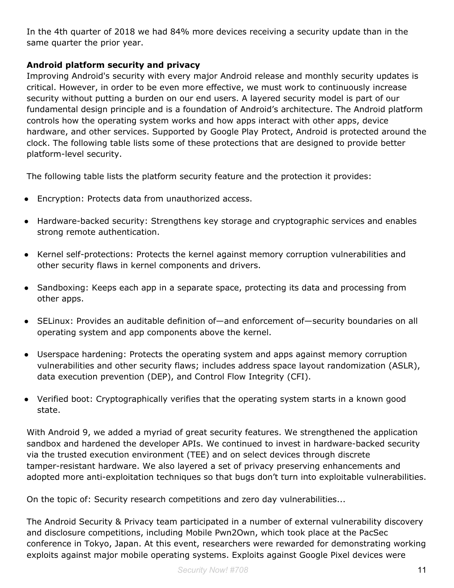In the 4th quarter of 2018 we had 84% more devices receiving a security update than in the same quarter the prior year.

# **Android platform security and privacy**

Improving Android's security with every major Android release and monthly security updates is critical. However, in order to be even more effective, we must work to continuously increase security without putting a burden on our end users. A layered security model is part of our fundamental design principle and is a foundation of Android's architecture. The Android platform controls how the operating system works and how apps interact with other apps, device hardware, and other services. Supported by Google Play Protect, Android is protected around the clock. The following table lists some of these protections that are designed to provide better platform-level security.

The following table lists the platform security feature and the protection it provides:

- Encryption: Protects data from unauthorized access.
- Hardware-backed security: Strengthens key storage and cryptographic services and enables strong remote authentication.
- Kernel self-protections: Protects the kernel against memory corruption vulnerabilities and other security flaws in kernel components and drivers.
- Sandboxing: Keeps each app in a separate space, protecting its data and processing from other apps.
- SELinux: Provides an auditable definition of—and enforcement of—security boundaries on all operating system and app components above the kernel.
- Userspace hardening: Protects the operating system and apps against memory corruption vulnerabilities and other security flaws; includes address space layout randomization (ASLR), data execution prevention (DEP), and Control Flow Integrity (CFI).
- Verified boot: Cryptographically verifies that the operating system starts in a known good state.

With Android 9, we added a myriad of great security features. We strengthened the application sandbox and hardened the developer APIs. We continued to invest in hardware-backed security via the trusted execution environment (TEE) and on select devices through discrete tamper-resistant hardware. We also layered a set of privacy preserving enhancements and adopted more anti-exploitation techniques so that bugs don't turn into exploitable vulnerabilities.

On the topic of: Security research competitions and zero day vulnerabilities...

The Android Security & Privacy team participated in a number of external vulnerability discovery and disclosure competitions, including Mobile Pwn2Own, which took place at the PacSec conference in Tokyo, Japan. At this event, researchers were rewarded for demonstrating working exploits against major mobile operating systems. Exploits against Google Pixel devices were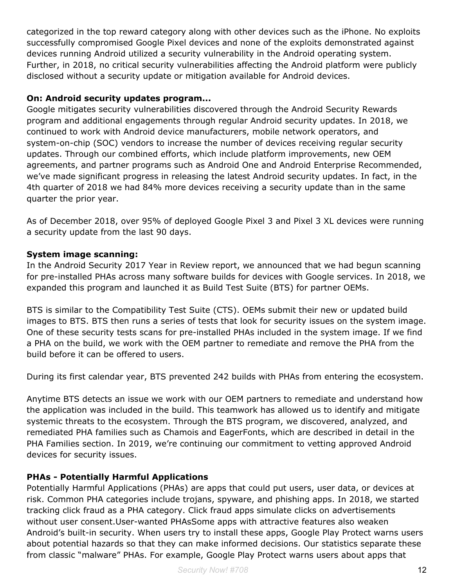categorized in the top reward category along with other devices such as the iPhone. No exploits successfully compromised Google Pixel devices and none of the exploits demonstrated against devices running Android utilized a security vulnerability in the Android operating system. Further, in 2018, no critical security vulnerabilities affecting the Android platform were publicly disclosed without a security update or mitigation available for Android devices.

#### **On: Android security updates program...**

Google mitigates security vulnerabilities discovered through the Android Security Rewards program and additional engagements through regular Android security updates. In 2018, we continued to work with Android device manufacturers, mobile network operators, and system-on-chip (SOC) vendors to increase the number of devices receiving regular security updates. Through our combined efforts, which include platform improvements, new OEM agreements, and partner programs such as Android One and Android Enterprise Recommended, we've made significant progress in releasing the latest Android security updates. In fact, in the 4th quarter of 2018 we had 84% more devices receiving a security update than in the same quarter the prior year.

As of December 2018, over 95% of deployed Google Pixel 3 and Pixel 3 XL devices were running a security update from the last 90 days.

#### **System image scanning:**

In the Android Security 2017 Year in Review report, we announced that we had begun scanning for pre-installed PHAs across many software builds for devices with Google services. In 2018, we expanded this program and launched it as Build Test Suite (BTS) for partner OEMs.

BTS is similar to the Compatibility Test Suite (CTS). OEMs submit their new or updated build images to BTS. BTS then runs a series of tests that look for security issues on the system image. One of these security tests scans for pre-installed PHAs included in the system image. If we find a PHA on the build, we work with the OEM partner to remediate and remove the PHA from the build before it can be offered to users.

During its first calendar year, BTS prevented 242 builds with PHAs from entering the ecosystem.

Anytime BTS detects an issue we work with our OEM partners to remediate and understand how the application was included in the build. This teamwork has allowed us to identify and mitigate systemic threats to the ecosystem. Through the BTS program, we discovered, analyzed, and remediated PHA families such as Chamois and EagerFonts, which are described in detail in the PHA Families section. In 2019, we're continuing our commitment to vetting approved Android devices for security issues.

# **PHAs - Potentially Harmful Applications**

Potentially Harmful Applications (PHAs) are apps that could put users, user data, or devices at risk. Common PHA categories include trojans, spyware, and phishing apps. In 2018, we started tracking click fraud as a PHA category. Click fraud apps simulate clicks on advertisements without user consent.User-wanted PHAsSome apps with attractive features also weaken Android's built-in security. When users try to install these apps, Google Play Protect warns users about potential hazards so that they can make informed decisions. Our statistics separate these from classic "malware" PHAs. For example, Google Play Protect warns users about apps that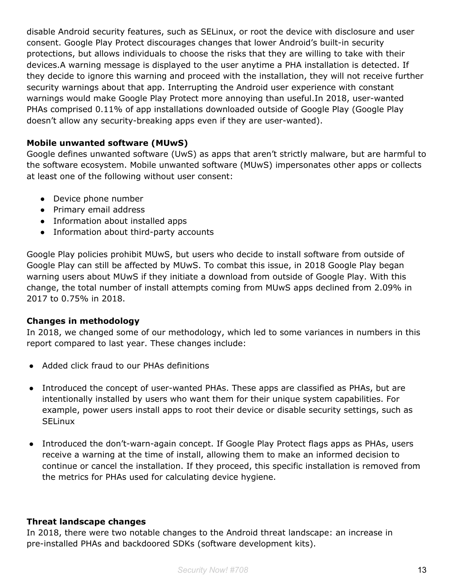disable Android security features, such as SELinux, or root the device with disclosure and user consent. Google Play Protect discourages changes that lower Android's built-in security protections, but allows individuals to choose the risks that they are willing to take with their devices.A warning message is displayed to the user anytime a PHA installation is detected. If they decide to ignore this warning and proceed with the installation, they will not receive further security warnings about that app. Interrupting the Android user experience with constant warnings would make Google Play Protect more annoying than useful.In 2018, user-wanted PHAs comprised 0.11% of app installations downloaded outside of Google Play (Google Play doesn't allow any security-breaking apps even if they are user-wanted).

#### **Mobile unwanted software (MUwS)**

Google defines unwanted software (UwS) as apps that aren't strictly malware, but are harmful to the software ecosystem. Mobile unwanted software (MUwS) impersonates other apps or collects at least one of the following without user consent:

- Device phone number
- Primary email address
- Information about installed apps
- Information about third-party accounts

Google Play policies prohibit MUwS, but users who decide to install software from outside of Google Play can still be affected by MUwS. To combat this issue, in 2018 Google Play began warning users about MUwS if they initiate a download from outside of Google Play. With this change, the total number of install attempts coming from MUwS apps declined from 2.09% in 2017 to 0.75% in 2018.

#### **Changes in methodology**

In 2018, we changed some of our methodology, which led to some variances in numbers in this report compared to last year. These changes include:

- Added click fraud to our PHAs definitions
- Introduced the concept of user-wanted PHAs. These apps are classified as PHAs, but are intentionally installed by users who want them for their unique system capabilities. For example, power users install apps to root their device or disable security settings, such as **SELinux**
- Introduced the don't-warn-again concept. If Google Play Protect flags apps as PHAs, users receive a warning at the time of install, allowing them to make an informed decision to continue or cancel the installation. If they proceed, this specific installation is removed from the metrics for PHAs used for calculating device hygiene.

#### **Threat landscape changes**

In 2018, there were two notable changes to the Android threat landscape: an increase in pre-installed PHAs and backdoored SDKs (software development kits).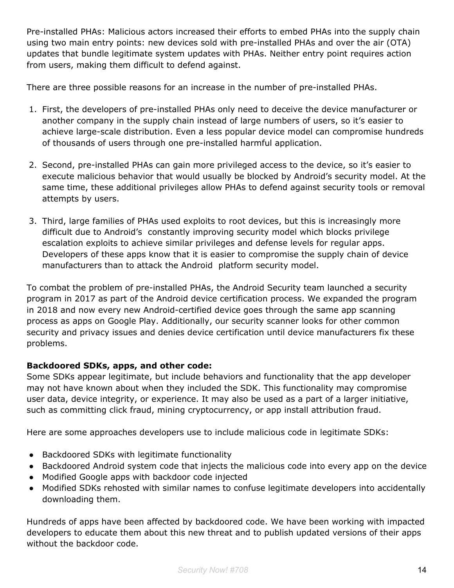Pre-installed PHAs: Malicious actors increased their efforts to embed PHAs into the supply chain using two main entry points: new devices sold with pre-installed PHAs and over the air (OTA) updates that bundle legitimate system updates with PHAs. Neither entry point requires action from users, making them difficult to defend against.

There are three possible reasons for an increase in the number of pre-installed PHAs.

- 1. First, the developers of pre-installed PHAs only need to deceive the device manufacturer or another company in the supply chain instead of large numbers of users, so it's easier to achieve large-scale distribution. Even a less popular device model can compromise hundreds of thousands of users through one pre-installed harmful application.
- 2. Second, pre-installed PHAs can gain more privileged access to the device, so it's easier to execute malicious behavior that would usually be blocked by Android's security model. At the same time, these additional privileges allow PHAs to defend against security tools or removal attempts by users.
- 3. Third, large families of PHAs used exploits to root devices, but this is increasingly more difficult due to Android's constantly improving security model which blocks privilege escalation exploits to achieve similar privileges and defense levels for regular apps. Developers of these apps know that it is easier to compromise the supply chain of device manufacturers than to attack the Android platform security model.

To combat the problem of pre-installed PHAs, the Android Security team launched a security program in 2017 as part of the Android device certification process. We expanded the program in 2018 and now every new Android-certified device goes through the same app scanning process as apps on Google Play. Additionally, our security scanner looks for other common security and privacy issues and denies device certification until device manufacturers fix these problems.

# **Backdoored SDKs, apps, and other code:**

Some SDKs appear legitimate, but include behaviors and functionality that the app developer may not have known about when they included the SDK. This functionality may compromise user data, device integrity, or experience. It may also be used as a part of a larger initiative, such as committing click fraud, mining cryptocurrency, or app install attribution fraud.

Here are some approaches developers use to include malicious code in legitimate SDKs:

- Backdoored SDKs with legitimate functionality
- Backdoored Android system code that injects the malicious code into every app on the device
- Modified Google apps with backdoor code injected
- Modified SDKs rehosted with similar names to confuse legitimate developers into accidentally downloading them.

Hundreds of apps have been affected by backdoored code. We have been working with impacted developers to educate them about this new threat and to publish updated versions of their apps without the backdoor code.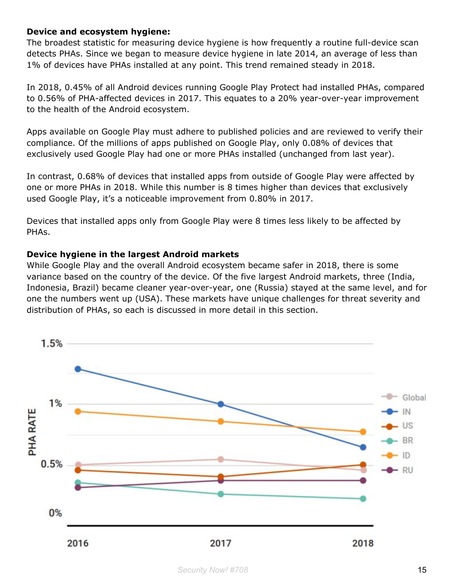#### **Device and ecosystem hygiene:**

The broadest statistic for measuring device hygiene is how frequently a routine full-device scan detects PHAs. Since we began to measure device hygiene in late 2014, an average of less than 1% of devices have PHAs installed at any point. This trend remained steady in 2018.

In 2018, 0.45% of all Android devices running Google Play Protect had installed PHAs, compared to 0.56% of PHA-affected devices in 2017. This equates to a 20% year-over-year improvement to the health of the Android ecosystem.

Apps available on Google Play must adhere to published policies and are reviewed to verify their compliance. Of the millions of apps published on Google Play, only 0.08% of devices that exclusively used Google Play had one or more PHAs installed (unchanged from last year).

In contrast, 0.68% of devices that installed apps from outside of Google Play were affected by one or more PHAs in 2018. While this number is 8 times higher than devices that exclusively used Google Play, it's a noticeable improvement from 0.80% in 2017.

Devices that installed apps only from Google Play were 8 times less likely to be affected by PHAs.

#### **Device hygiene in the largest Android markets**

While Google Play and the overall Android ecosystem became safer in 2018, there is some variance based on the country of the device. Of the five largest Android markets, three (India, Indonesia, Brazil) became cleaner year-over-year, one (Russia) stayed at the same level, and for one the numbers went up (USA). These markets have unique challenges for threat severity and distribution of PHAs, so each is discussed in more detail in this section.

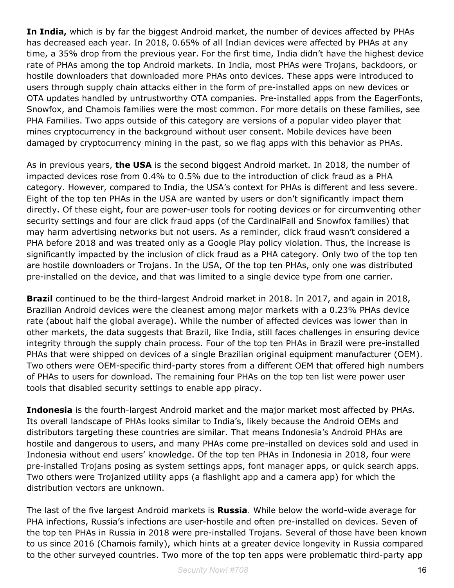**In India,** which is by far the biggest Android market, the number of devices affected by PHAs has decreased each year. In 2018, 0.65% of all Indian devices were affected by PHAs at any time, a 35% drop from the previous year. For the first time, India didn't have the highest device rate of PHAs among the top Android markets. In India, most PHAs were Trojans, backdoors, or hostile downloaders that downloaded more PHAs onto devices. These apps were introduced to users through supply chain attacks either in the form of pre-installed apps on new devices or OTA updates handled by untrustworthy OTA companies. Pre-installed apps from the EagerFonts, Snowfox, and Chamois families were the most common. For more details on these families, see PHA Families. Two apps outside of this category are versions of a popular video player that mines cryptocurrency in the background without user consent. Mobile devices have been damaged by cryptocurrency mining in the past, so we flag apps with this behavior as PHAs.

As in previous years, **the USA** is the second biggest Android market. In 2018, the number of impacted devices rose from 0.4% to 0.5% due to the introduction of click fraud as a PHA category. However, compared to India, the USA's context for PHAs is different and less severe. Eight of the top ten PHAs in the USA are wanted by users or don't significantly impact them directly. Of these eight, four are power-user tools for rooting devices or for circumventing other security settings and four are click fraud apps (of the CardinalFall and Snowfox families) that may harm advertising networks but not users. As a reminder, click fraud wasn't considered a PHA before 2018 and was treated only as a Google Play policy violation. Thus, the increase is significantly impacted by the inclusion of click fraud as a PHA category. Only two of the top ten are hostile downloaders or Trojans. In the USA, Of the top ten PHAs, only one was distributed pre-installed on the device, and that was limited to a single device type from one carrier.

**Brazil** continued to be the third-largest Android market in 2018. In 2017, and again in 2018, Brazilian Android devices were the cleanest among major markets with a 0.23% PHAs device rate (about half the global average). While the number of affected devices was lower than in other markets, the data suggests that Brazil, like India, still faces challenges in ensuring device integrity through the supply chain process. Four of the top ten PHAs in Brazil were pre-installed PHAs that were shipped on devices of a single Brazilian original equipment manufacturer (OEM). Two others were OEM-specific third-party stores from a different OEM that offered high numbers of PHAs to users for download. The remaining four PHAs on the top ten list were power user tools that disabled security settings to enable app piracy.

**Indonesia** is the fourth-largest Android market and the major market most affected by PHAs. Its overall landscape of PHAs looks similar to India's, likely because the Android OEMs and distributors targeting these countries are similar. That means Indonesia's Android PHAs are hostile and dangerous to users, and many PHAs come pre-installed on devices sold and used in Indonesia without end users' knowledge. Of the top ten PHAs in Indonesia in 2018, four were pre-installed Trojans posing as system settings apps, font manager apps, or quick search apps. Two others were Trojanized utility apps (a flashlight app and a camera app) for which the distribution vectors are unknown.

The last of the five largest Android markets is **Russia**. While below the world-wide average for PHA infections, Russia's infections are user-hostile and often pre-installed on devices. Seven of the top ten PHAs in Russia in 2018 were pre-installed Trojans. Several of those have been known to us since 2016 (Chamois family), which hints at a greater device longevity in Russia compared to the other surveyed countries. Two more of the top ten apps were problematic third-party app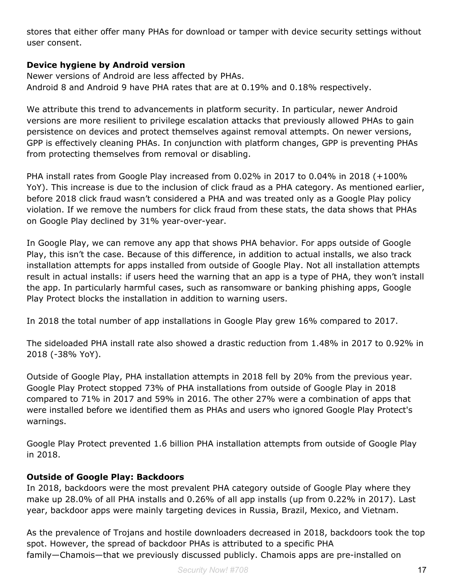stores that either offer many PHAs for download or tamper with device security settings without user consent.

#### **Device hygiene by Android version**

Newer versions of Android are less affected by PHAs. Android 8 and Android 9 have PHA rates that are at 0.19% and 0.18% respectively.

We attribute this trend to advancements in platform security. In particular, newer Android versions are more resilient to privilege escalation attacks that previously allowed PHAs to gain persistence on devices and protect themselves against removal attempts. On newer versions, GPP is effectively cleaning PHAs. In conjunction with platform changes, GPP is preventing PHAs from protecting themselves from removal or disabling.

PHA install rates from Google Play increased from 0.02% in 2017 to 0.04% in 2018 (+100% YoY). This increase is due to the inclusion of click fraud as a PHA category. As mentioned earlier, before 2018 click fraud wasn't considered a PHA and was treated only as a Google Play policy violation. If we remove the numbers for click fraud from these stats, the data shows that PHAs on Google Play declined by 31% year-over-year.

In Google Play, we can remove any app that shows PHA behavior. For apps outside of Google Play, this isn't the case. Because of this difference, in addition to actual installs, we also track installation attempts for apps installed from outside of Google Play. Not all installation attempts result in actual installs: if users heed the warning that an app is a type of PHA, they won't install the app. In particularly harmful cases, such as ransomware or banking phishing apps, Google Play Protect blocks the installation in addition to warning users.

In 2018 the total number of app installations in Google Play grew 16% compared to 2017.

The sideloaded PHA install rate also showed a drastic reduction from 1.48% in 2017 to 0.92% in 2018 (-38% YoY).

Outside of Google Play, PHA installation attempts in 2018 fell by 20% from the previous year. Google Play Protect stopped 73% of PHA installations from outside of Google Play in 2018 compared to 71% in 2017 and 59% in 2016. The other 27% were a combination of apps that were installed before we identified them as PHAs and users who ignored Google Play Protect's warnings.

Google Play Protect prevented 1.6 billion PHA installation attempts from outside of Google Play in 2018.

# **Outside of Google Play: Backdoors**

In 2018, backdoors were the most prevalent PHA category outside of Google Play where they make up 28.0% of all PHA installs and 0.26% of all app installs (up from 0.22% in 2017). Last year, backdoor apps were mainly targeting devices in Russia, Brazil, Mexico, and Vietnam.

As the prevalence of Trojans and hostile downloaders decreased in 2018, backdoors took the top spot. However, the spread of backdoor PHAs is attributed to a specific PHA family—Chamois—that we previously discussed publicly. Chamois apps are pre-installed on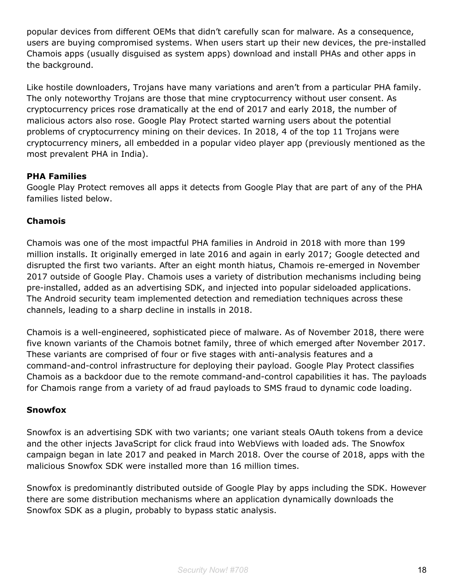popular devices from different OEMs that didn't carefully scan for malware. As a consequence, users are buying compromised systems. When users start up their new devices, the pre-installed Chamois apps (usually disguised as system apps) download and install PHAs and other apps in the background.

Like hostile downloaders, Trojans have many variations and aren't from a particular PHA family. The only noteworthy Trojans are those that mine cryptocurrency without user consent. As cryptocurrency prices rose dramatically at the end of 2017 and early 2018, the number of malicious actors also rose. Google Play Protect started warning users about the potential problems of cryptocurrency mining on their devices. In 2018, 4 of the top 11 Trojans were cryptocurrency miners, all embedded in a popular video player app (previously mentioned as the most prevalent PHA in India).

# **PHA Families**

Google Play Protect removes all apps it detects from Google Play that are part of any of the PHA families listed below.

#### **Chamois**

Chamois was one of the most impactful PHA families in Android in 2018 with more than 199 million installs. It originally emerged in late 2016 and again in early 2017; Google detected and disrupted the first two variants. After an eight month hiatus, Chamois re-emerged in November 2017 outside of Google Play. Chamois uses a variety of distribution mechanisms including being pre-installed, added as an advertising SDK, and injected into popular sideloaded applications. The Android security team implemented detection and remediation techniques across these channels, leading to a sharp decline in installs in 2018.

Chamois is a well-engineered, sophisticated piece of malware. As of November 2018, there were five known variants of the Chamois botnet family, three of which emerged after November 2017. These variants are comprised of four or five stages with anti-analysis features and a command-and-control infrastructure for deploying their payload. Google Play Protect classifies Chamois as a backdoor due to the remote command-and-control capabilities it has. The payloads for Chamois range from a variety of ad fraud payloads to SMS fraud to dynamic code loading.

#### **Snowfox**

Snowfox is an advertising SDK with two variants; one variant steals OAuth tokens from a device and the other injects JavaScript for click fraud into WebViews with loaded ads. The Snowfox campaign began in late 2017 and peaked in March 2018. Over the course of 2018, apps with the malicious Snowfox SDK were installed more than 16 million times.

Snowfox is predominantly distributed outside of Google Play by apps including the SDK. However there are some distribution mechanisms where an application dynamically downloads the Snowfox SDK as a plugin, probably to bypass static analysis.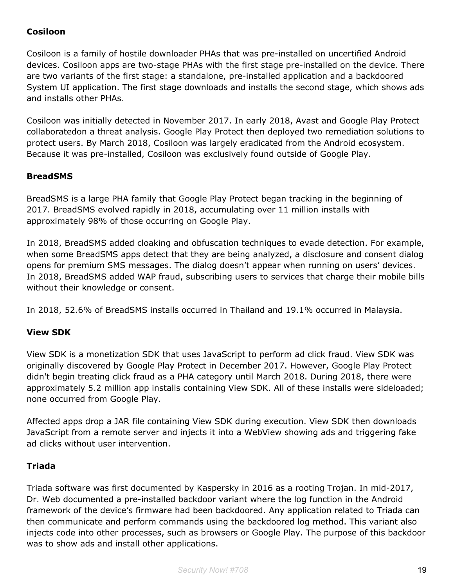# **Cosiloon**

Cosiloon is a family of hostile downloader PHAs that was pre-installed on uncertified Android devices. Cosiloon apps are two-stage PHAs with the first stage pre-installed on the device. There are two variants of the first stage: a standalone, pre-installed application and a backdoored System UI application. The first stage downloads and installs the second stage, which shows ads and installs other PHAs.

Cosiloon was initially detected in November 2017. In early 2018, Avast and Google Play Protect collaboratedon a threat analysis. Google Play Protect then deployed two remediation solutions to protect users. By March 2018, Cosiloon was largely eradicated from the Android ecosystem. Because it was pre-installed, Cosiloon was exclusively found outside of Google Play.

# **BreadSMS**

BreadSMS is a large PHA family that Google Play Protect began tracking in the beginning of 2017. BreadSMS evolved rapidly in 2018, accumulating over 11 million installs with approximately 98% of those occurring on Google Play.

In 2018, BreadSMS added cloaking and obfuscation techniques to evade detection. For example, when some BreadSMS apps detect that they are being analyzed, a disclosure and consent dialog opens for premium SMS messages. The dialog doesn't appear when running on users' devices. In 2018, BreadSMS added WAP fraud, subscribing users to services that charge their mobile bills without their knowledge or consent.

In 2018, 52.6% of BreadSMS installs occurred in Thailand and 19.1% occurred in Malaysia.

# **View SDK**

View SDK is a monetization SDK that uses JavaScript to perform ad click fraud. View SDK was originally discovered by Google Play Protect in December 2017. However, Google Play Protect didn't begin treating click fraud as a PHA category until March 2018. During 2018, there were approximately 5.2 million app installs containing View SDK. All of these installs were sideloaded; none occurred from Google Play.

Affected apps drop a JAR file containing View SDK during execution. View SDK then downloads JavaScript from a remote server and injects it into a WebView showing ads and triggering fake ad clicks without user intervention.

#### **Triada**

Triada software was first documented by Kaspersky in 2016 as a rooting Trojan. In mid-2017, Dr. Web documented a pre-installed backdoor variant where the log function in the Android framework of the device's firmware had been backdoored. Any application related to Triada can then communicate and perform commands using the backdoored log method. This variant also injects code into other processes, such as browsers or Google Play. The purpose of this backdoor was to show ads and install other applications.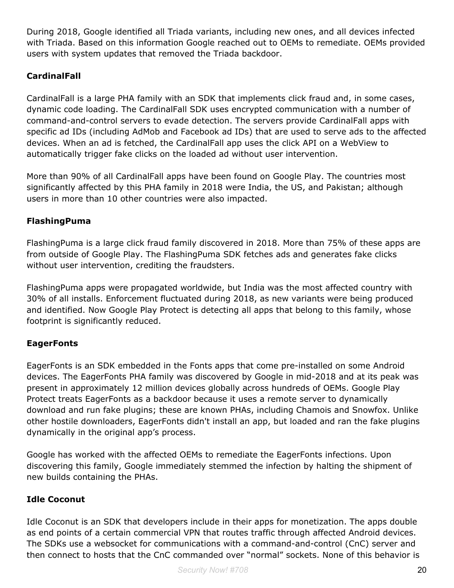During 2018, Google identified all Triada variants, including new ones, and all devices infected with Triada. Based on this information Google reached out to OEMs to remediate. OEMs provided users with system updates that removed the Triada backdoor.

# **CardinalFall**

CardinalFall is a large PHA family with an SDK that implements click fraud and, in some cases, dynamic code loading. The CardinalFall SDK uses encrypted communication with a number of command-and-control servers to evade detection. The servers provide CardinalFall apps with specific ad IDs (including AdMob and Facebook ad IDs) that are used to serve ads to the affected devices. When an ad is fetched, the CardinalFall app uses the click API on a WebView to automatically trigger fake clicks on the loaded ad without user intervention.

More than 90% of all CardinalFall apps have been found on Google Play. The countries most significantly affected by this PHA family in 2018 were India, the US, and Pakistan; although users in more than 10 other countries were also impacted.

# **FlashingPuma**

FlashingPuma is a large click fraud family discovered in 2018. More than 75% of these apps are from outside of Google Play. The FlashingPuma SDK fetches ads and generates fake clicks without user intervention, crediting the fraudsters.

FlashingPuma apps were propagated worldwide, but India was the most affected country with 30% of all installs. Enforcement fluctuated during 2018, as new variants were being produced and identified. Now Google Play Protect is detecting all apps that belong to this family, whose footprint is significantly reduced.

# **EagerFonts**

EagerFonts is an SDK embedded in the Fonts apps that come pre-installed on some Android devices. The EagerFonts PHA family was discovered by Google in mid-2018 and at its peak was present in approximately 12 million devices globally across hundreds of OEMs. Google Play Protect treats EagerFonts as a backdoor because it uses a remote server to dynamically download and run fake plugins; these are known PHAs, including Chamois and Snowfox. Unlike other hostile downloaders, EagerFonts didn't install an app, but loaded and ran the fake plugins dynamically in the original app's process.

Google has worked with the affected OEMs to remediate the EagerFonts infections. Upon discovering this family, Google immediately stemmed the infection by halting the shipment of new builds containing the PHAs.

# **Idle Coconut**

Idle Coconut is an SDK that developers include in their apps for monetization. The apps double as end points of a certain commercial VPN that routes traffic through affected Android devices. The SDKs use a websocket for communications with a command-and-control (CnC) server and then connect to hosts that the CnC commanded over "normal" sockets. None of this behavior is